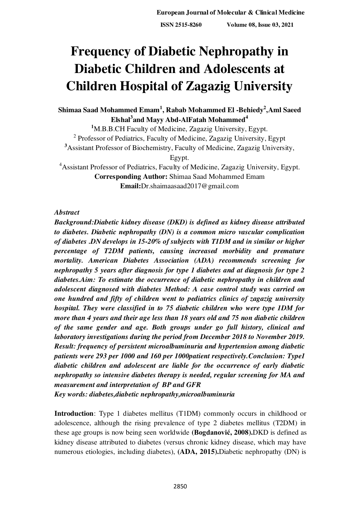**European Journal of Molecular & Clinical Medicine**

 **ISSN 2515-8260 Volume 08, Issue 03, 2021**

# **Frequency of Diabetic Nephropathy in Diabetic Children and Adolescents at Children Hospital of Zagazig University**

# **Shimaa Saad Mohammed Emam<sup>1</sup> , Rabab Mohammed El -Behiedy<sup>2</sup> ,Aml Saeed Elshal<sup>3</sup> and Mayy Abd-AlFatah Mohammed<sup>4</sup>**

**<sup>1</sup>**M.B.B.CH Faculty of Medicine, Zagazig University, Egypt. <sup>2</sup> Professor of Pediatrics, Faculty of Medicine, Zagazig University, Egypt **<sup>3</sup>**Assistant Professor of Biochemistry, Faculty of Medicine, Zagazig University, Egypt. <sup>4</sup>Assistant Professor of Pediatrics, Faculty of Medicine, Zagazig University, Egypt.

**Corresponding Author:** Shimaa Saad Mohammed Emam **Email:**Dr.shaimaasaad2017@gmail.com

# *Abstract*

*Background:Diabetic kidney disease (DKD) is defined as kidney disease attributed to diabetes. Diabetic nephropathy (DN) is a common micro vascular complication of diabetes .DN develops in 15-20% of subjects with T1DM and in similar or higher percentage of T2DM patients, causing increased morbidity and premature mortality. American Diabetes Association (ADA) recommends screening for nephropathy 5 years after diagnosis for type 1 diabetes and at diagnosis for type 2 diabetes.Aim: To estimate the occurrence of diabetic nephropathy in children and adolescent diagnosed with diabetes Method: A case control study was carried on one hundred and fifty of children went to pediatrics clinics of zagazig university hospital. They were classified in to 75 diabetic children who were type 1DM for more than 4 years and their age less than 18 years old and 75 non diabetic children of the same gender and age. Both groups under go full history, clinical and laboratory investigations during the period from December 2018 to November 2019. Result: frequency of persistent microalbuminuria and hypertension among diabetic patients were 293 per 1000 and 160 per 1000patient respectively.Conclusion: Type1 diabetic children and adolescent are liable for the occurrence of early diabetic nephropathy so intensive diabetes therapy is needed, regular screening for MA and measurement and interpretation of BP and GFR Key words: diabetes,diabetic nephropathy,microalbuminuria* 

**Introduction**: Type 1 diabetes mellitus (T1DM) commonly occurs in childhood or adolescence, although the rising prevalence of type 2 diabetes mellitus (T2DM) in these age groups is now being seen worldwide **([Bogdanović](https://www.ncbi.nlm.nih.gov/pubmed/?term=Bogdanovi%C4%87%20R%5BAuthor%5D&cauthor=true&cauthor_uid=17940807), 2008).**DKD is defined as kidney disease attributed to diabetes (versus chronic kidney disease, which may have numerous etiologies, including diabetes), **(ADA, 2015).**Diabetic nephropathy (DN) is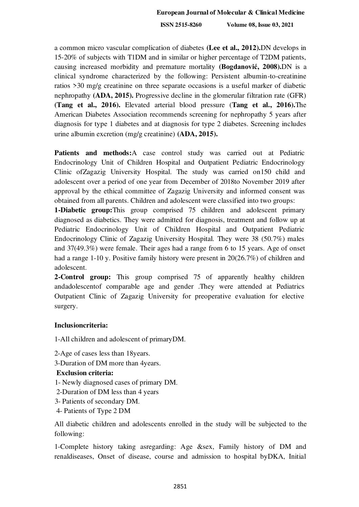a common micro vascular complication of diabetes **(Lee et al., 2012).**DN develops in 15-20% of subjects with T1DM and in similar or higher percentage of T2DM patients, causing increased morbidity and premature mortality **([Bogdanović](https://www.ncbi.nlm.nih.gov/pubmed/?term=Bogdanovi%C4%87%20R%5BAuthor%5D&cauthor=true&cauthor_uid=17940807), 2008).**DN is a clinical syndrome characterized by the following: Persistent albumin-to-creatinine ratios >30 mg/g creatinine on three separate occasions is a useful marker of diabetic nephropathy **(ADA, 2015).** Progressive decline in the glomerular filtration rate (GFR) **(Tang et al., 2016).** Elevated arterial blood pressure (**Tang et al., 2016).**The American Diabetes Association recommends screening for nephropathy 5 years after diagnosis for type 1 diabetes and at diagnosis for type 2 diabetes. Screening includes urine albumin excretion (mg/g creatinine) **(ADA, 2015).**

**Patients and methods:**A case control study was carried out at Pediatric Endocrinology Unit of Children Hospital and Outpatient Pediatric Endocrinology Clinic ofZagazig University Hospital. The study was carried on150 child and adolescent over a period of one year from December of 2018to November 2019 after approval by the ethical committee of Zagazig University and informed consent was obtained from all parents. Children and adolescent were classified into two groups:

**1-Diabetic group:**This group comprised 75 children and adolescent primary diagnosed as diabetics. They were admitted for diagnosis, treatment and follow up at Pediatric Endocrinology Unit of Children Hospital and Outpatient Pediatric Endocrinology Clinic of Zagazig University Hospital. They were 38 (50.7%) males and 37(49.3%) were female. Their ages had a range from 6 to 15 years. Age of onset had a range 1-10 y. Positive family history were present in 20(26.7%) of children and adolescent.

**2-Control group:** This group comprised 75 of apparently healthy children andadolescentof comparable age and gender .They were attended at Pediatrics Outpatient Clinic of Zagazig University for preoperative evaluation for elective surgery.

# **Inclusioncriteria:**

1-All children and adolescent of primaryDM.

2-Age of cases less than 18years.

3-Duration of DM more than 4years.

### **Exclusion criteria:**

- 1- Newly diagnosed cases of primary DM.
- 2-Duration of DM less than 4 years
- 3- Patients of secondary DM.
- 4- Patients of Type 2 DM

All diabetic children and adolescents enrolled in the study will be subjected to the following:

1-Complete history taking asregarding: Age &sex, Family history of DM and renaldiseases, Onset of disease, course and admission to hospital byDKA, Initial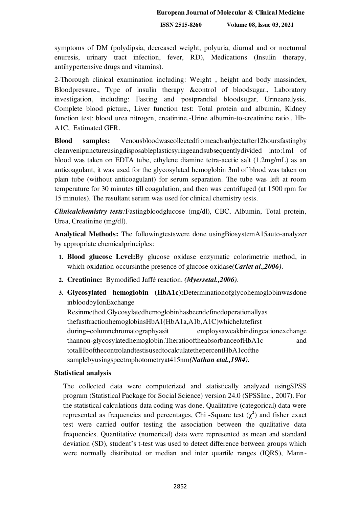symptoms of DM (polydipsia, decreased weight, polyuria, diurnal and or nocturnal enuresis, urinary tract infection, fever, RD), Medications (Insulin therapy, antihypertensive drugs and vitamins).

2-Thorough clinical examination including: Weight , height and body massindex, Bloodpressure., Type of insulin therapy &control of bloodsugar., Laboratory investigation, including: Fasting and postprandial bloodsugar, Urineanalysis, Complete blood picture., Liver function test: Total protein and albumin, Kidney function test: blood urea nitrogen, creatinine,-Urine albumin-to-creatinine ratio., Hb-A1C, Estimated GFR.

**Blood samples:** Venousbloodwascollectedfromeachsubjectafter12hoursfastingby cleanvenipunctureusingdisposableplasticsyringeandsubsequentlydivided into:1ml of blood was taken on EDTA tube, ethylene diamine tetra-acetic salt (1.2mg/mL) as an anticoagulant, it was used for the glycosylated hemoglobin 3ml of blood was taken on plain tube (without anticoagulant) for serum separation. The tube was left at room temperature for 30 minutes till coagulation, and then was centrifuged (at 1500 rpm for 15 minutes). The resultant serum was used for clinical chemistry tests.

*Clinicalchemistry tests:*Fastingbloodglucose (mg/dl), CBC, Albumin, Total protein, Urea, Creatinine (mg/dl).

**Analytical Methods:** The followingtestswere done usingBiosystemA15auto-analyzer by appropriate chemicalprinciples:

- **1. Blood glucose Level:**By glucose oxidase enzymatic colorimetric method, in which oxidation occursinthe presence of glucose oxidase*(Carlet al.,2006)*.
- **2. Creatinine:** Bymodified Jaffé reaction. *(Myersetal.,2006)*.
- **3. Glycosylated hemoglobin (HbA1c):**Determinationofglycohemoglobinwasdone inbloodbyIonExchange Resinmethod.Glycosylatedhemoglobinhasbeendefinedoperationallyas thefastfractionhemoglobinsHbA1(HbA1a,A1b,A1C)whichelutefirst during+columnchromatographyasit employsaweakbindingcationexchange thannon-glycosylatedhemoglobin.TheratiooftheabsorbanceofHbA1c and totalHbofthecontrolandtestisusedtocalculatethepercentHbA1cofthe samplebyusingspectrophotometryat415nm*(Nathan etal.,1984).*

### **Statistical analysis**

The collected data were computerized and statistically analyzed usingSPSS program (Statistical Package for Social Science) version 24.0 (SPSSInc., 2007). For the statistical calculations data coding was done. Qualitative (categorical) data were represented as frequencies and percentages, Chi -Square test  $(\chi^2)$  and fisher exact test were carried outfor testing the association between the qualitative data frequencies. Quantitative (numerical) data were represented as mean and standard deviation (SD), student's t-test was used to detect difference between groups which were normally distributed or median and inter quartile ranges (IQRS), Mann-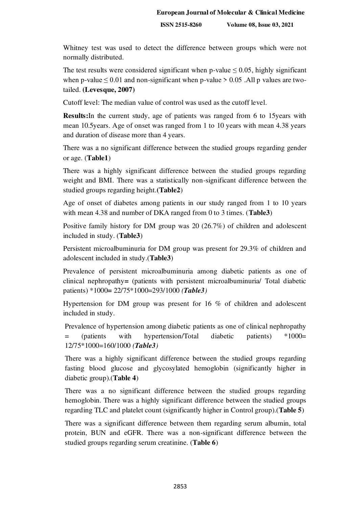Whitney test was used to detect the difference between groups which were not normally distributed.

The test results were considered significant when p-value  $\leq 0.05$ , highly significant when p-value  $\leq 0.01$  and non-significant when p-value > 0.05 .All p values are twotailed. **(Levesque, 2007)**

Cutoff level: The median value of control was used as the cutoff level.

**Results:**In the current study, age of patients was ranged from 6 to 15years with mean 10.5years. Age of onset was ranged from 1 to 10 years with mean 4.38 years and duration of disease more than 4 years.

There was a no significant difference between the studied groups regarding gender or age. (**Table1**)

There was a highly significant difference between the studied groups regarding weight and BMI. There was a statistically non-significant difference between the studied groups regarding height.**(Table2**)

Age of onset of diabetes among patients in our study ranged from 1 to 10 years with mean 4.38 and number of DKA ranged from 0 to 3 times. (**Table3**)

Positive family history for DM group was 20 (26.7%) of children and adolescent included in study. (**Table3**)

Persistent microalbuminuria for DM group was present for 29.3% of children and adolescent included in study.(**Table3**)

Prevalence of persistent microalbuminuria among diabetic patients as one of clinical nephropathy**=** (patients with persistent microalbuminuria/ Total diabetic patients) \*1000**=** 22/75\*1000=293/1000 *(Table3)*

Hypertension for DM group was present for 16 % of children and adolescent included in study.

Prevalence of hypertension among diabetic patients as one of clinical nephropathy = (patients with hypertension/Total diabetic patients) \*1000= 12/75\*1000=160/1000 *(Table3)*

There was a highly significant difference between the studied groups regarding fasting blood glucose and glycosylated hemoglobin (significantly higher in diabetic group).(**Table 4**)

There was a no significant difference between the studied groups regarding hemoglobin. There was a highly significant difference between the studied groups regarding TLC and platelet count (significantly higher in Control group).(**Table 5**)

There was a significant difference between them regarding serum albumin, total protein, BUN and eGFR. There was a non-significant difference between the studied groups regarding serum creatinine. (**Table 6**)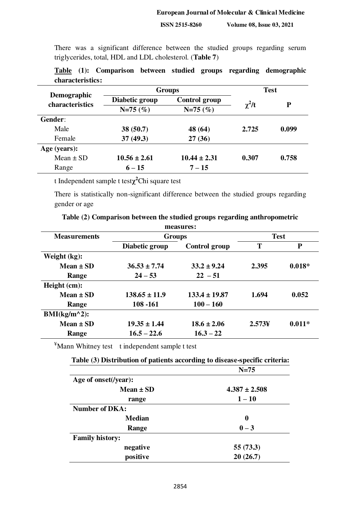There was a significant difference between the studied groups regarding serum triglycerides, total, HDL and LDL cholesterol. (**Table 7**)

| Demographic<br><b>characteristics</b> |                  | <b>Groups</b>        | <b>Test</b> |       |  |
|---------------------------------------|------------------|----------------------|-------------|-------|--|
|                                       | Diabetic group   | <b>Control group</b> |             | P     |  |
|                                       | $N=75(%)$        | $N=75(%)$            | $\chi^2/t$  |       |  |
| Gender:                               |                  |                      |             |       |  |
| Male                                  | 38(50.7)         | 48 (64)              | 2.725       | 0.099 |  |
| Female                                | 37(49.3)         | 27(36)               |             |       |  |
| Age (years):                          |                  |                      |             |       |  |
| $Mean \pm SD$                         | $10.56 \pm 2.61$ | $10.44 \pm 2.31$     | 0.307       | 0.758 |  |
| Range                                 | $6 - 15$         | $7 - 15$             |             |       |  |

|                  |  |  |  | Table (1): Comparison between studied groups regarding demographic |
|------------------|--|--|--|--------------------------------------------------------------------|
| characteristics: |  |  |  |                                                                    |

t Independent sample t test**χ <sup>2</sup>**Chi square test

There is statistically non-significant difference between the studied groups regarding gender or age

|  |  |  | Table (2) Comparison between the studied groups regarding anthropometric |
|--|--|--|--------------------------------------------------------------------------|
|  |  |  |                                                                          |

| measures:           |                   |                      |             |              |  |
|---------------------|-------------------|----------------------|-------------|--------------|--|
| <b>Measurements</b> | <b>Groups</b>     |                      | <b>Test</b> |              |  |
|                     | Diabetic group    | <b>Control group</b> | T           | $\mathbf{P}$ |  |
| Weight (kg):        |                   |                      |             |              |  |
| Mean $\pm$ SD       | $36.53 \pm 7.74$  | $33.2 \pm 9.24$      | 2.395       | $0.018*$     |  |
| Range               | $24 - 53$         | $22 - 51$            |             |              |  |
| Height (cm):        |                   |                      |             |              |  |
| Mean $\pm$ SD       | $138.65 \pm 11.9$ | $133.4 \pm 19.87$    | 1.694       | 0.052        |  |
| Range               | 108 -161          | $100 - 160$          |             |              |  |
| $BMI(kg/m^2):$      |                   |                      |             |              |  |
| Mean $\pm$ SD       | $19.35 \pm 1.44$  | $18.6 \pm 2.06$      | 2.573Y      | $0.011*$     |  |
| Range               | $16.5 - 22.6$     | $16.3 - 22$          |             |              |  |

¥Mann Whitney test t independent sample t test

| Table (3) Distribution of patients according to disease-specific criteria: |  |  |
|----------------------------------------------------------------------------|--|--|
|                                                                            |  |  |

|                        | $N=75$            |
|------------------------|-------------------|
| Age of onset(/year):   |                   |
| $Mean \pm SD$          | $4.387 \pm 2.508$ |
| range                  | $1 - 10$          |
| <b>Number of DKA:</b>  |                   |
| <b>Median</b>          | 0                 |
| Range                  | $0 - 3$           |
| <b>Family history:</b> |                   |
| negative               | 55 (73.3)         |
| positive               | 20(26.7)          |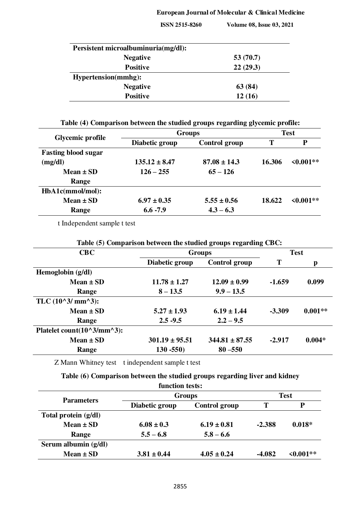# **European Journal of Molecular & Clinical Medicine**

 **ISSN 2515-8260 Volume 08, Issue 03, 2021**

| Persistent microalbuminuria(mg/dl): |             |
|-------------------------------------|-------------|
| <b>Negative</b>                     | 53 $(70.7)$ |
| <b>Positive</b>                     | 22(29.3)    |
| <b>Hypertension(mmhg):</b>          |             |
| <b>Negative</b>                     | 63 (84)     |
| <b>Positive</b>                     | 12(16)      |

# **Table (4) Comparison between the studied groups regarding glycemic profile:**

| <b>Glycemic profile</b>    |                   | <b>Groups</b>    | <b>Test</b> |                |  |
|----------------------------|-------------------|------------------|-------------|----------------|--|
|                            | Diabetic group    | Control group    | T           | P              |  |
| <b>Fasting blood sugar</b> |                   |                  |             |                |  |
| (mg/dl)                    | $135.12 \pm 8.47$ | $87.08 \pm 14.3$ | 16.306      | $\leq 0.001**$ |  |
| Mean $\pm$ SD              | $126 - 255$       | $65 - 126$       |             |                |  |
| Range                      |                   |                  |             |                |  |
| HbA1c(mmol/mol):           |                   |                  |             |                |  |
| $Mean \pm SD$              | $6.97 \pm 0.35$   | $5.55 \pm 0.56$  | 18.622      | $\leq 0.001**$ |  |
| Range                      | $6.6 - 7.9$       | $4.3 - 6.3$      |             |                |  |

t Independent sample t test

| CBC                                       | <b>Groups</b>      |                      | <b>Test</b> |           |
|-------------------------------------------|--------------------|----------------------|-------------|-----------|
|                                           | Diabetic group     | <b>Control group</b> | T           | p         |
| Hemoglobin (g/dl)                         |                    |                      |             |           |
| $Mean \pm SD$                             | $11.78 \pm 1.27$   | $12.09 \pm 0.99$     | $-1.659$    | 0.099     |
| Range                                     | $8 - 13.5$         | $9.9 - 13.5$         |             |           |
| TLC $(10^{\circ}3/\text{mm}^{\wedge}3)$ : |                    |                      |             |           |
| $Mean \pm SD$                             | $5.27 \pm 1.93$    | $6.19 \pm 1.44$      | $-3.309$    | $0.001**$ |
| Range                                     | $2.5 - 9.5$        | $2.2 - 9.5$          |             |           |
| Platelet count(10^3/mm^3):                |                    |                      |             |           |
| $Mean \pm SD$                             | $301.19 \pm 95.51$ | $344.81 \pm 87.55$   | $-2.917$    | $0.004*$  |
| Range                                     | $130 - 550$        | $80 - 550$           |             |           |

Z Mann Whitney test t independent sample t test

# **Table (6) Comparison between the studied groups regarding liver and kidney**

| function tests:      |                 |                 |          |          |  |  |
|----------------------|-----------------|-----------------|----------|----------|--|--|
| <b>Parameters</b>    |                 | <b>Groups</b>   |          |          |  |  |
|                      | Diabetic group  | Control group   | T        | Р        |  |  |
| Total protein (g/dl) |                 |                 |          |          |  |  |
| $Mean \pm SD$        | $6.08 \pm 0.3$  | $6.19 \pm 0.81$ | $-2.388$ | $0.018*$ |  |  |
| Range                | $5.5 - 6.8$     | $5.8 - 6.6$     |          |          |  |  |
| Serum albumin (g/dl) |                 |                 |          |          |  |  |
| $Mean \pm SD$        | $3.81 \pm 0.44$ | $4.05 \pm 0.24$ | $-4.082$ | <0.001** |  |  |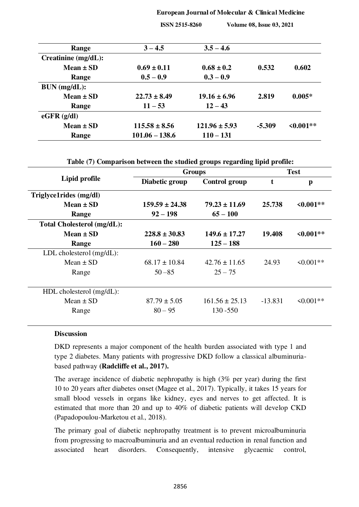#### **European Journal of Molecular & Clinical Medicine**

 **ISSN 2515-8260 Volume 08, Issue 03, 2021**

| Range               | $3 - 4.5$         | $3.5 - 4.6$       |          |                |
|---------------------|-------------------|-------------------|----------|----------------|
| Creatinine (mg/dL): |                   |                   |          |                |
| $Mean \pm SD$       | $0.69 \pm 0.11$   | $0.68 \pm 0.2$    | 0.532    | 0.602          |
| Range               | $0.5 - 0.9$       | $0.3 - 0.9$       |          |                |
| BUN (mg/dL):        |                   |                   |          |                |
| Mean $\pm$ SD       | $22.73 \pm 8.49$  | $19.16 \pm 6.96$  | 2.819    | $0.005*$       |
| Range               | $11 - 53$         | $12 - 43$         |          |                |
| $eGFR$ ( $g/dl$ )   |                   |                   |          |                |
| $Mean \pm SD$       | $115.58 \pm 8.56$ | $121.96 \pm 5.93$ | $-5.309$ | $\leq 0.001**$ |
| Range               | $101.06 - 138.6$  | $110 - 131$       |          |                |

**Table (7) Comparison between the studied groups regarding lipid profile:** 

| Lipid profile               | <b>Groups</b>      |                      | <b>Test</b> |                |
|-----------------------------|--------------------|----------------------|-------------|----------------|
|                             | Diabetic group     | <b>Control group</b> | t           | $\mathbf{p}$   |
| Triglyce1rides (mg/dl)      |                    |                      |             |                |
| Mean $\pm$ SD               | $159.59 \pm 24.38$ | $79.23 \pm 11.69$    | 25.738      | $\leq 0.001**$ |
| Range                       | $92 - 198$         | $65 - 100$           |             |                |
| Total Cholesterol (mg/dL):  |                    |                      |             |                |
| Mean $\pm$ SD               | $228.8 \pm 30.83$  | $149.6 \pm 17.27$    | 19.408      | $\leq 0.001**$ |
| Range                       | $160 - 280$        | $125 - 188$          |             |                |
| LDL cholesterol $(mg/dL)$ : |                    |                      |             |                |
| Mean $\pm$ SD               | $68.17 \pm 10.84$  | $42.76 \pm 11.65$    | 24.93       | $\leq 0.001**$ |
| Range                       | $50 - 85$          | $25 - 75$            |             |                |
|                             |                    |                      |             |                |
| $HDL$ cholesterol (mg/dL):  |                    |                      |             |                |
| Mean $\pm$ SD               | $87.79 \pm 5.05$   | $161.56 \pm 25.13$   | $-13.831$   | $\leq 0.001**$ |
| Range                       | $80 - 95$          | $130 - 550$          |             |                |
|                             |                    |                      |             |                |

# **Discussion**

DKD represents a major component of the health burden associated with type 1 and type 2 diabetes. Many patients with progressive DKD follow a classical albuminuriabased pathway **(Radcliffe et al., 2017).** 

The average incidence of diabetic nephropathy is high (3% per year) during the first 10 to 20 years after diabetes onset (Magee et al., 2017). Typically, it takes 15 years for small blood vessels in organs like kidney, eyes and nerves to get affected. It is estimated that more than 20 and up to 40% of diabetic patients will develop CKD (Papadopoulou-Marketou et al., 2018).

The primary goal of diabetic nephropathy treatment is to prevent microalbuminuria from progressing to macroalbuminuria and an eventual reduction in renal function and associated heart disorders. Consequently, intensive glycaemic control,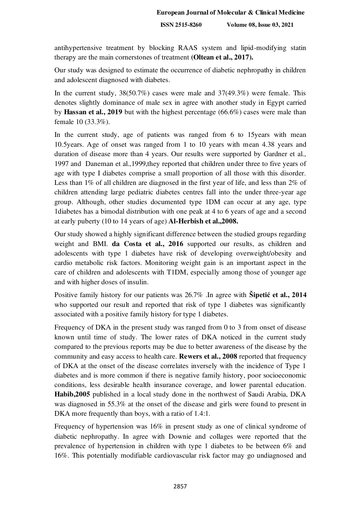antihypertensive treatment by blocking RAAS system and lipid-modifying statin therapy are the main cornerstones of treatment **(Oltean et al., 2017).** 

Our study was designed to estimate the occurrence of diabetic nephropathy in children and adolescent diagnosed with diabetes.

In the current study,  $38(50.7\%)$  cases were male and  $37(49.3\%)$  were female. This denotes slightly dominance of male sex in agree with another study in Egypt carried by **Hassan et al., 2019** but with the highest percentage (66.6%) cases were male than female 10 (33.3%).

In the current study, age of patients was ranged from 6 to 15 years with mean 10.5years. Age of onset was ranged from 1 to 10 years with mean 4.38 years and duration of disease more than 4 years. Our results were supported by Gardner et al., 1997 and [Daneman](https://www.ncbi.nlm.nih.gov/pubmed/?term=Daneman%20D%5BAuthor%5D&cauthor=true&cauthor_uid=20212991) et al.,1999,they reported that children under three to five years of age with type I diabetes comprise a small proportion of all those with this disorder. Less than 1% of all children are diagnosed in the first year of life, and less than 2% of children attending large pediatric diabetes centres fall into the under three-year age group. Although, other studies documented type 1DM can occur at any age, type 1diabetes has a bimodal distribution with one peak at 4 to 6 years of age and a second at early puberty (10 to 14 years of age) **Al-Herbish et al.,2008.** 

Our study showed a highly significant difference between the studied groups regarding weight and BMI. **da Costa et al., 2016** supported our results, as children and adolescents with type 1 diabetes have risk of developing overweight/obesity and cardio metabolic risk factors. Monitoring weight gain is an important aspect in the care of children and adolescents with T1DM, especially among those of younger age and with higher doses of insulin.

Positive family history for our patients was 26.7% .In agree with **Šipetić et al., 2014** who supported our result and reported that risk of type 1 diabetes was significantly associated with a positive family history for type 1 diabetes.

Frequency of DKA in the present study was ranged from 0 to 3 from onset of disease known until time of study. The lower rates of DKA noticed in the current study compared to the previous reports may be due to better awareness of the disease by the community and easy access to health care. **Rewers et al., 2008** reported that frequency of DKA at the onset of the disease correlates inversely with the incidence of Type 1 diabetes and is more common if there is negative family history, poor socioeconomic conditions, less desirable health insurance coverage, and lower parental education. **Habib,2005** published in a local study done in the northwest of Saudi Arabia, DKA was diagnosed in 55.3% at the onset of the disease and girls were found to present in DKA more frequently than boys, with a ratio of 1.4:1.

Frequency of hypertension was 16% in present study as one of clinical syndrome of diabetic nephropathy. In agree with Downie and collages were reported that the prevalence of hypertension in children with type 1 diabetes to be between 6% and 16%. This potentially modifiable cardiovascular risk factor may go undiagnosed and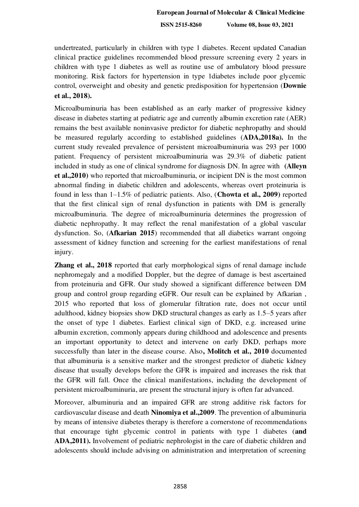undertreated, particularly in children with type 1 diabetes. Recent updated Canadian clinical practice guidelines recommended blood pressure screening every 2 years in children with type 1 diabetes as well as routine use of ambulatory blood pressure monitoring. Risk factors for hypertension in type 1diabetes include poor glycemic control, overweight and obesity and genetic predisposition for hypertension (**Downie et al., 2018).**

Microalbuminuria has been established as an early marker of progressive kidney disease in diabetes starting at pediatric age and currently albumin excretion rate (AER) remains the best available noninvasive predictor for diabetic nephropathy and should be measured regularly according to established guidelines (**ADA,2018a).** In the current study revealed prevalence of persistent microalbuminuria was 293 per 1000 patient. Frequency of persistent microalbuminuria was 29.3% of diabetic patient included in study as one of clinical syndrome for diagnosis DN. In agree with **[\(Alleyn](https://www.ncbi.nlm.nih.gov/pubmed/?term=Alleyn%20CR%5BAuthor%5D&cauthor=true&cauthor_uid=20536948)  et al.,2010)** who reported that microalbuminuria, or incipient DN is the most common abnormal finding in diabetic children and adolescents, whereas overt proteinuria is found in less than 1–1.5% of pediatric patients. Also, (**Chowta et al., 2009)** reported that the first clinical sign of renal dysfunction in patients with DM is generally microalbuminuria. The degree of microalbuminuria determines the progression of diabetic nephropathy. It may reflect the renal manifestation of a global vascular dysfunction. So, (**[Afkarian](https://www.ncbi.nlm.nih.gov/pubmed/?term=Afkarian%20M%5BAuthor%5D&cauthor=true&cauthor_uid=24643739) 2015**) recommended that all diabetics warrant ongoing assessment of kidney function and screening for the earliest manifestations of renal injury.

**Zhang et al., 2018** reported that early morphological signs of renal damage include nephromegaly and a modified Doppler, but the degree of damage is best ascertained from proteinuria and GFR. Our study showed a significant difference between DM group and control group regarding eGFR. Our result can be explained b[y Afkarian](https://www.ncbi.nlm.nih.gov/pubmed/?term=Afkarian%20M%5BAuthor%5D&cauthor=true&cauthor_uid=24643739) , 2015 who reported that loss of glomerular filtration rate, does not occur until adulthood, kidney biopsies show DKD structural changes as early as 1.5–5 years after the onset of type 1 diabetes. Earliest clinical sign of DKD, e.g. increased urine albumin excretion, commonly appears during childhood and adolescence and presents an important opportunity to detect and intervene on early DKD, perhaps more successfully than later in the disease course. Also**, Molitch et al., 2010** documented that albuminuria is a sensitive marker and the strongest predictor of diabetic kidney disease that usually develops before the GFR is impaired and increases the risk that the GFR will fall. Once the clinical manifestations, including the development of persistent microalbuminuria, are present the structural injury is often far advanced.

Moreover, albuminuria and an impaired GFR are strong additive risk factors for cardiovascular disease and death **Ninomiya et al.,2009**. The prevention of albuminuria by means of intensive diabetes therapy is therefore a cornerstone of recommendations that encourage tight glycemic control in patients with type 1 diabetes (**and ADA,2011).** Involvement of pediatric nephrologist in the care of diabetic children and adolescents should include advising on administration and interpretation of screening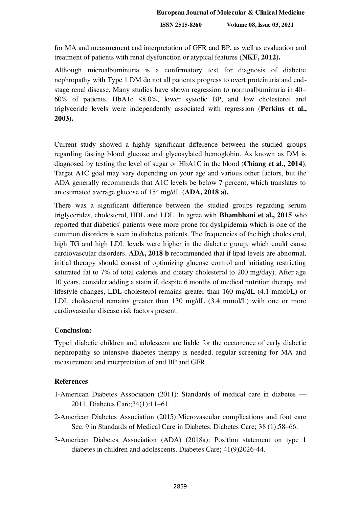for MA and measurement and interpretation of GFR and BP, as well as evaluation and treatment of patients with renal dysfunction or atypical features (**NKF, 2012).** 

Although microalbuminuria is a confirmatory test for diagnosis of diabetic nephropathy with Type 1 DM do not all patients progress to overt proteinuria and endstage renal disease, Many studies have shown regression to normoalbuminuria in 40– 60% of patients. HbA1c <8.0%, lower systolic BP, and low cholesterol and triglyceride levels were independently associated with regression (**Perkins et al., 2003).** 

Current study showed a highly significant difference between the studied groups regarding fasting blood glucose and glycosylated hemoglobin. As known as DM is diagnosed by testing the level of sugar or HbA1C in the blood (**Chiang et al., 2014)**. Target A1C goal may vary depending on your age and various other factors, but the ADA generally recommends that A1C levels be below 7 percent, which translates to an estimated average glucose of 154 mg/dL (**ADA, 2018 a).**

There was a significant difference between the studied groups regarding serum triglycerides, cholesterol, HDL and LDL. In agree with **Bhambhani et al., 2015** who reported that diabetics' patients were more prone for dyslipidemia which is one of the common disorders is seen in diabetes patients. The frequencies of the high cholesterol, high TG and high LDL levels were higher in the diabetic group, which could cause cardiovascular disorders. **ADA, 2018 b** recommended that if lipid levels are abnormal, initial therapy should consist of optimizing glucose control and initiating restricting saturated fat to 7% of total calories and dietary cholesterol to 200 mg/day). After age 10 years, consider adding a statin if, despite 6 months of medical nutrition therapy and lifestyle changes, LDL cholesterol remains greater than 160 mg/dL (4.1 mmol/L) or LDL cholesterol remains greater than 130 mg/dL (3.4 mmol/L) with one or more cardiovascular disease risk factors present.

### **Conclusion:**

Type1 diabetic children and adolescent are liable for the occurrence of early diabetic nephropathy so intensive diabetes therapy is needed, regular screening for MA and measurement and interpretation of and BP and GFR.

### **References**

- 1-American Diabetes Association (2011): Standards of medical care in diabetes 2011. Diabetes Care;34(1):11–61.
- 2-American Diabetes Association (2015):Microvascular complications and foot care Sec. 9 in Standards of Medical Care in Diabetes. Diabetes Care; 38 (1):58–66.
- 3-American Diabetes Association (ADA) (2018a): Position statement on type 1 diabetes in children and adolescents. Diabetes Care; 41(9)2026-44.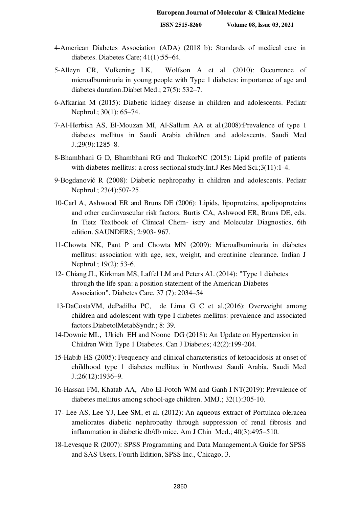- 4-American Diabetes Association (ADA) (2018 b): Standards of medical care in diabetes. Diabetes Care; 41(1):55–64.
- 5[-Alleyn](https://www.ncbi.nlm.nih.gov/pubmed/?term=Alleyn%20CR%5BAuthor%5D&cauthor=true&cauthor_uid=20536948) CR, [Volkening](https://www.ncbi.nlm.nih.gov/pubmed/?term=Volkening%20LK%5BAuthor%5D&cauthor=true&cauthor_uid=20536948) LK, [Wolfson](https://www.ncbi.nlm.nih.gov/pubmed/?term=Wolfson%20J%5BAuthor%5D&cauthor=true&cauthor_uid=20536948) A et al. (2010): Occurrence of microalbuminuria in young people with Type 1 diabetes: importance of age and diabetes duration[.Diabet Med.; 27\(5\): 532](https://www.ncbi.nlm.nih.gov/entrez/eutils/elink.fcgi?dbfrom=pubmed&retmode=ref&cmd=prlinks&id=20536948)–7.
- [6-Afkarian](https://www.ncbi.nlm.nih.gov/pubmed/?term=Afkarian%20M%5BAuthor%5D&cauthor=true&cauthor_uid=24643739) M (2015): Diabetic kidney disease in children and adolescents. [Pediatr](https://www.ncbi.nlm.nih.gov/entrez/eutils/elink.fcgi?dbfrom=pubmed&retmode=ref&cmd=prlinks&id=24643739)  [Nephrol.; 30\(1\): 65](https://www.ncbi.nlm.nih.gov/entrez/eutils/elink.fcgi?dbfrom=pubmed&retmode=ref&cmd=prlinks&id=24643739)–74.
- 7-Al-Herbish AS, El-Mouzan MI, Al-Sallum AA et al.(2008):Prevalence of type 1 diabetes mellitus in Saudi Arabia children and adolescents. Saudi Med J.;29(9):1285–8.
- 8-Bhambhani G D, Bhambhani RG and ThakorNC (2015): Lipid profile of patients with diabetes mellitus: a cross sectional study.Int.J Res Med Sci.;3(11):1-4.
- 9-Bogdanović R (2008): Diabetic nephropathy in children and adolescents. Pediatr Nephrol.; 23(4):507-25.
- 10-Carl A, Ashwood ER and Bruns DE (2006): Lipids, lipoproteins, apolipoproteins and other cardiovascular risk factors. Burtis CA, Ashwood ER, Bruns DE, eds. In Tietz Textbook of Clinical Chem- istry and Molecular Diagnostics, 6th edition. SAUNDERS; 2:903- 967.
- 11-Chowta NK, Pant P and Chowta MN (2009): Microalbuminuria in diabetes mellitus: association with age, sex, weight, and creatinine clearance. Indian J Nephrol.; 19(2): 53-6.
- 12- Chiang JL, Kirkman MS, Laffel LM and Peters AL (2014): ["Type 1 diabetes](https://www.ncbi.nlm.nih.gov/pmc/articles/PMC5865481)  [through the life span: a position statement of the American Diabetes](https://www.ncbi.nlm.nih.gov/pmc/articles/PMC5865481)  [Association".](https://www.ncbi.nlm.nih.gov/pmc/articles/PMC5865481) Diabetes Care. 37 (7): 2034–54
- [13-DaCostaV](https://www.ncbi.nlm.nih.gov/pubmed/?term=da%20Costa%20VM%5BAuthor%5D&cauthor=true&cauthor_uid=27429649)M, [dePadilha](https://www.ncbi.nlm.nih.gov/pubmed/?term=de%20Carvalho%20Padilha%20P%5BAuthor%5D&cauthor=true&cauthor_uid=27429649) PC, [de Lima](https://www.ncbi.nlm.nih.gov/pubmed/?term=de%20Lima%20GC%5BAuthor%5D&cauthor=true&cauthor_uid=27429649) G C et al.(2016): Overweight among children and adolescent with type I diabetes mellitus: prevalence and associated factors[.DiabetolMetabSyndr.](https://www.ncbi.nlm.nih.gov/pmc/articles/PMC4947366/); 8: 39.
- 14[-Downie](https://pubmed.ncbi.nlm.nih.gov/?term=Downie+ML&cauthor_id=29602408) ML, [Ulrich](https://pubmed.ncbi.nlm.nih.gov/?term=Ulrich+EH&cauthor_id=29602408) EH and [Noone](https://pubmed.ncbi.nlm.nih.gov/?term=Noone+DG&cauthor_id=29602408) DG (2018): An Update on Hypertension in Children With Type 1 Diabetes. Can J Diabetes; 42(2):199-204.
- 15-Habib HS (2005): Frequency and clinical characteristics of ketoacidosis at onset of childhood type 1 diabetes mellitus in Northwest Saudi Arabia. Saudi Med J.;26(12):1936–9.
- 16[-Hassan](http://mmj.eg.net/searchresult.asp?search=&author=Fahima+M+Hassan&journal=Y&but_search=Search&entries=10&pg=1&s=0) FM, [Khatab](http://mmj.eg.net/searchresult.asp?search=&author=Ahmed+A+Khatab&journal=Y&but_search=Search&entries=10&pg=1&s=0) AA, [Abo El-Fotoh](http://mmj.eg.net/searchresult.asp?search=&author=Wafaa+M+Abo+El%2DFotoh&journal=Y&but_search=Search&entries=10&pg=1&s=0) WM and [Ganh](http://mmj.eg.net/searchresult.asp?search=&author=Ibrahim+N%2E+T%2E+Ganh&journal=Y&but_search=Search&entries=10&pg=1&s=0) I NT(2019): Prevalence of diabetes mellitus among school-age children. MMJ.; 32(1):305-10.
- 17- Lee AS, Lee YJ, Lee SM, et al. (2012): An aqueous extract of Portulaca oleracea ameliorates diabetic nephropathy through suppression of renal fibrosis and inflammation in diabetic db/db mice. Am J Chin Med.; 40(3):495–510.
- 18-Levesque R (2007): SPSS Programming and Data Management.A Guide for SPSS and SAS Users, Fourth Edition, SPSS Inc., Chicago, 3.